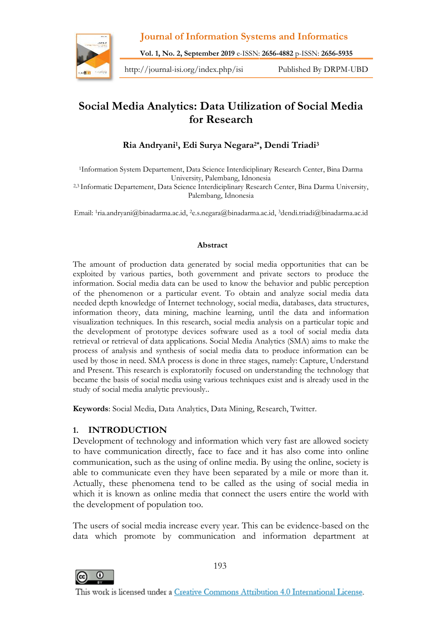

**Journal of Information Systems and Informatics Vol. 1, No. 2, September 2019** e-ISSN: 2656-4882 p-ISSN: 2656-5935<br>Vol. 1, No. 2, September 2019 e-ISSN: 2656-4882 p-ISSN: 2656-5935<br>V/journal-isi.org/index.php/isi Published By DRPM-UBD Journal of Information Systems and Informatics<br>Vol. 1, No. 2, September 2019 e-ISSN: 2656-4882 p-ISSN: 2656-5935<br>http://journal-isi.org/index.php/isi Published By DRPM-UBD

## **Social Media Analytics: Data Utilization of Social Media for Research**

#### **Ria Andryani1, Edi Surya Negara2\*, Dendi Triadi<sup>3</sup>**

<sup>1</sup>Information System Departement, Data Science Interdiciplinary Research Center, Bina Darma University, Palembang, Idnonesia

2,3 Informatic Departement, Data Science Interdiciplinary Research Center, Bina Darma University, Palembang, Idnonesia

Email: <sup>1</sup>ria.andryani@binadarma.ac.id, <sup>2</sup>e.s.negara@binadarma.ac.id, <sup>3</sup>dendi.triadi@binadarma.ac.id

#### **Abstract**

The amount of production data generated by social media opportunities that can be exploited by various parties, both government and private sectors to produce the information. Social media data can be used to know the behavior and public perception of the phenomenon or a particular event. To obtain and analyze social media data needed depth knowledge of Internet technology, social media, databases, data structures, information theory, data mining, machine learning, until the data and information visualization techniques. In this research, social media analysis on a particular topic and the development of prototype devices software used as a tool of social media data retrieval or retrieval of data applications. Social Media Analytics (SMA) aims to make the process of analysis and synthesis of social media data to produce information can be used by those in need. SMA process is done in three stages, namely: Capture, Understand and Present. This research is exploratorily focused on understanding the technology that became the basis of social media using various techniques exist and is already used in the study of social media analytic previously..

**Keywords**: Social Media, Data Analytics, Data Mining, Research, Twitter.

#### **1. INTRODUCTION**

Development of technology and information which very fast are allowed society to have communication directly, face to face and it has also come into online communication, such as the using of online media. By using the online, society is able to communicate even they have been separated by a mile or more than it. Actually, these phenomena tend to be called as the using of social media in which it is known as online media that connect the users entire the world with the development of population too.

The users of social media increase every year. This can be evidence-based on the data which promote by communication and information department at



193

This work is licensed under a Creative Commons Attribution 4.0 International License.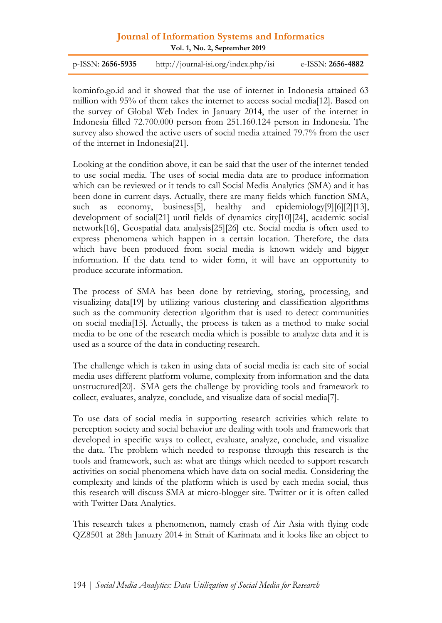## **Journal of Information Systems and Informatics Vol. 1, No. <sup>2</sup>, September <sup>2019</sup>**

| <b>Journal of Information Systems and Informatics</b><br>Vol. 1, No. 2, September 2019 |                                      |                   |
|----------------------------------------------------------------------------------------|--------------------------------------|-------------------|
| $p$ -ISSN: 2656-5935                                                                   | http://journal-isi.org/index.php/isi | e-ISSN: 2656-4882 |
|                                                                                        |                                      |                   |

kominfo.go.id and it showed that the use of internet in Indonesia attained 63 Vol. 1, No. 2, September 2019<br>
p-ISSN: 2656-5935 http://journal-isi.org/index.php/isi e-ISSN: 2656-4882<br>
kominfo.go.id and it showed that the use of internet in Indonesia attained 63<br>
million with 95% of them takes the int Indonesia filled 72.700.000 person from 251.160.124 person in Indonesia. The kominfo.go.id and it showed that the use of internet in Indonesia attained 63 million with 95% of them takes the internet to access social media[12]. Based on the survey of Global Web Index in January 2014, the user of the of the internet in Indonesia[21].

Looking at the condition above, it can be said that the user of the internet tended to use social media. The uses of social media data are to produce information which can be reviewed or it tends to call Social Media Analytics (SMA) and it has been done in current days. Actually, there are many fields which function SMA, such as economy, business[5], healthy and epidemiology[9][6][2][13], development of social[21] until fields of dynamics city[10][24], academic social network[16], Geospatial data analysis[25][26] etc. Social media is often used to express phenomena which happen in a certain location. Therefore, the data which have been produced from social media is known widely and bigger information. If the data tend to wider form, it will have an opportunity to produce accurate information.

The process of SMA has been done by retrieving, storing, processing, and visualizing data[19] by utilizing various clustering and classification algorithms such as the community detection algorithm that is used to detect communities on social media[15]. Actually, the process is taken as a method to make social media to be one of the research media which is possible to analyze data and it is used as a source of the data in conducting research.

The challenge which is taken in using data of social media is: each site of social media uses different platform volume, complexity from information and the data unstructured[20]. SMA gets the challenge by providing tools and framework to collect, evaluates, analyze, conclude, and visualize data of social media[7].

To use data of social media in supporting research activities which relate to perception society and social behavior are dealing with tools and framework that developed in specific ways to collect, evaluate, analyze, conclude, and visualize the data. The problem which needed to response through this research is the tools and framework, such as: what are things which needed to support research activities on social phenomena which have data on social media. Considering the complexity and kinds of the platform which is used by each media social, thus this research will discuss SMA at micro-blogger site. Twitter or it is often called with Twitter Data Analytics.

This research takes a phenomenon, namely crash of Air Asia with flying code QZ8501 at 28th January 2014 in Strait of Karimata and it looks like an object to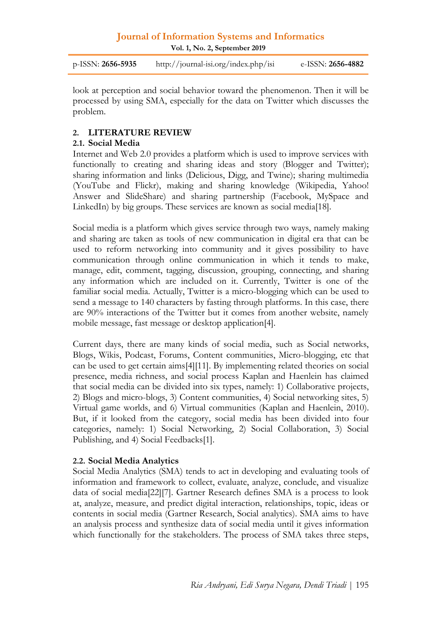**Vol. 1, No. 2, September 2019**

p-ISSN: **2656-5935** http://journal-isi.org/index.php/isi e-ISSN: **2656-4882**

look at perception and social behavior toward the phenomenon. Then it will be processed by using SMA, especially for the data on Twitter which discusses the problem.

#### **2. LITERATURE REVIEW**

#### **2.1. Social Media**

Internet and Web 2.0 provides a platform which is used to improve services with functionally to creating and sharing ideas and story (Blogger and Twitter); sharing information and links (Delicious, Digg, and Twine); sharing multimedia (YouTube and Flickr), making and sharing knowledge (Wikipedia, Yahoo! Answer and SlideShare) and sharing partnership (Facebook, MySpace and LinkedIn) by big groups. These services are known as social media[18].

Social media is a platform which gives service through two ways, namely making and sharing are taken as tools of new communication in digital era that can be used to reform networking into community and it gives possibility to have communication through online communication in which it tends to make, manage, edit, comment, tagging, discussion, grouping, connecting, and sharing any information which are included on it. Currently, Twitter is one of the familiar social media. Actually, Twitter is a micro-blogging which can be used to send a message to 140 characters by fasting through platforms. In this case, there are 90% interactions of the Twitter but it comes from another website, namely mobile message, fast message or desktop application[4].

Current days, there are many kinds of social media, such as Social networks, Blogs, Wikis, Podcast, Forums, Content communities, Micro-blogging, etc that can be used to get certain aims[4][11]. By implementing related theories on social presence, media richness, and social process Kaplan and Haenlein has claimed that social media can be divided into six types, namely: 1) Collaborative projects, 2) Blogs and micro-blogs, 3) Content communities, 4) Social networking sites, 5) Virtual game worlds, and 6) Virtual communities (Kaplan and Haenlein, 2010). But, if it looked from the category, social media has been divided into four categories, namely: 1) Social Networking, 2) Social Collaboration, 3) Social Publishing, and 4) Social Feedbacks[1].

#### **2.2. Social Media Analytics**

Social Media Analytics (SMA) tends to act in developing and evaluating tools of information and framework to collect, evaluate, analyze, conclude, and visualize data of social media[22][7]. Gartner Research defines SMA is a process to look at, analyze, measure, and predict digital interaction, relationships, topic, ideas or contents in social media (Gartner Research, Social analytics). SMA aims to have an analysis process and synthesize data of social media until it gives information which functionally for the stakeholders. The process of SMA takes three steps, *Ria Andryani, Edi Surya Negara, Dendi Triadi* <sup>|</sup> <sup>195</sup>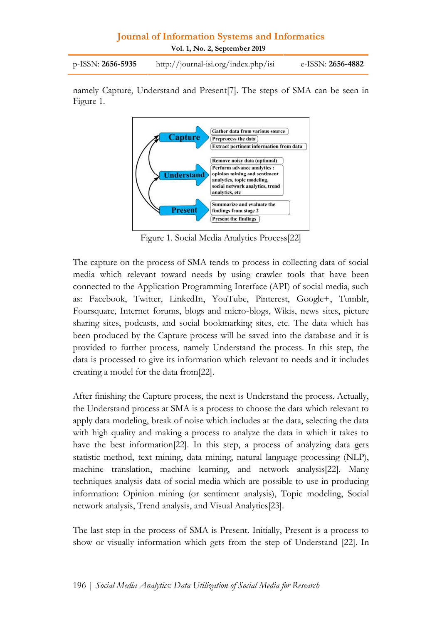**Vol. 1, No. 2, September 2019**

p-ISSN: **2656-5935** http://journal-isi.org/index.php/isi e-ISSN: **2656-4882**

namely Capture, Understand and Present[7]. The steps of SMA can be seen in Figure 1.



Figure 1. Social Media Analytics Process[22]

The capture on the process of SMA tends to process in collecting data of social media which relevant toward needs by using crawler tools that have been connected to the Application Programming Interface (API) of social media, such as: Facebook, Twitter, LinkedIn, YouTube, Pinterest, Google+, Tumblr, Foursquare, Internet forums, blogs and micro-blogs, Wikis, news sites, picture sharing sites, podcasts, and social bookmarking sites, etc. The data which has been produced by the Capture process will be saved into the database and it is provided to further process, namely Understand the process. In this step, the data is processed to give its information which relevant to needs and it includes creating a model for the data from[22].

After finishing the Capture process, the next is Understand the process. Actually, the Understand process at SMA is a process to choose the data which relevant to apply data modeling, break of noise which includes at the data, selecting the data with high quality and making a process to analyze the data in which it takes to have the best information[22]. In this step, a process of analyzing data gets statistic method, text mining, data mining, natural language processing (NLP), machine translation, machine learning, and network analysis[22]. Many techniques analysis data of social media which are possible to use in producing information: Opinion mining (or sentiment analysis), Topic modeling, Social network analysis, Trend analysis, and Visual Analytics[23].

The last step in the process of SMA is Present. Initially, Present is a process to show or visually information which gets from the step of Understand [22]. In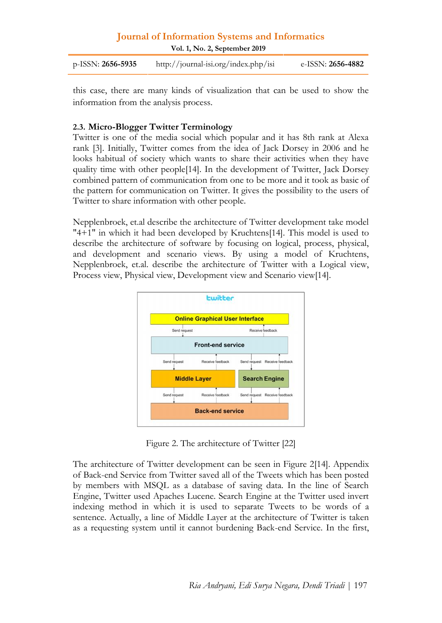| <b>Journal of Information Systems and Informatics</b><br>Vol. 1, No. 2, September 2019 |                                      |                          |
|----------------------------------------------------------------------------------------|--------------------------------------|--------------------------|
| $p$ -ISSN: 2656-5935                                                                   | http://journal-isi.org/index.php/isi | e-ISSN: <b>2656-4882</b> |
|                                                                                        |                                      |                          |

| p-ISSN: 2656-5935 | http://journal-isi.org/index.php/isi | e-ISSN: <b>2656-4882</b> |
|-------------------|--------------------------------------|--------------------------|
|-------------------|--------------------------------------|--------------------------|

this case, there are many kinds of visualization that can be used to show the information from the analysis process.

#### **2.3. Micro-Blogger Twitter Terminology**

Twitter is one of the media social which popular and it has 8th rank at Alexa rank [3]. Initially, Twitter comes from the idea of Jack Dorsey in 2006 and he looks habitual of society which wants to share their activities when they have quality time with other people[14]. In the development of Twitter, Jack Dorsey combined pattern of communication from one to be more and it took as basic of the pattern for communication on Twitter. It gives the possibility to the users of Twitter to share information with other people.

Nepplenbroek, et.al describe the architecture of Twitter development take model "4+1" in which it had been developed by Kruchtens[14]. This model is used to describe the architecture of software by focusing on logical, process, physical, and development and scenario views. By using a model of Kruchtens, Nepplenbroek, et.al. describe the architecture of Twitter with a Logical view, Process view, Physical view, Development view and Scenario view[14].



Figure 2. The architecture of Twitter [22]

The architecture of Twitter development can be seen in Figure 2[14]. Appendix of Back-end Service from Twitter saved all of the Tweets which has been posted by members with MSQL as a database of saving data. In the line of Search Engine, Twitter used Apaches Lucene. Search Engine at the Twitter used invert indexing method in which it is used to separate Tweets to be words of a sentence. Actually, a line of Middle Layer at the architecture of Twitter is taken as a requesting system until it cannot burdening Back-end Service. In the first,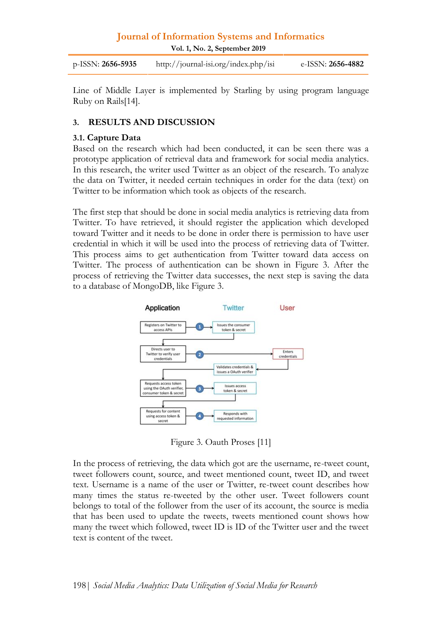**Vol. 1, No. 2, September 2019**

p-ISSN: **2656-5935** http://journal-isi.org/index.php/isi e-ISSN: **2656-4882**

Line of Middle Layer is implemented by Starling by using program language Ruby on Rails[14].

#### **3. RESULTS AND DISCUSSION**

#### **3.1. Capture Data**

Based on the research which had been conducted, it can be seen there was a prototype application of retrieval data and framework for social media analytics. In this research, the writer used Twitter as an object of the research. To analyze the data on Twitter, it needed certain techniques in order for the data (text) on Twitter to be information which took as objects of the research.

The first step that should be done in social media analytics is retrieving data from Twitter. To have retrieved, it should register the application which developed toward Twitter and it needs to be done in order there is permission to have user credential in which it will be used into the process of retrieving data of Twitter. This process aims to get authentication from Twitter toward data access on Twitter. The process of authentication can be shown in Figure 3. After the process of retrieving the Twitter data successes, the next step is saving the data to a database of MongoDB, like Figure 3.



Figure 3. Oauth Proses [11]

In the process of retrieving, the data which got are the username, re-tweet count, tweet followers count, source, and tweet mentioned count, tweet ID, and tweet text. Username is a name of the user or Twitter, re-tweet count describes how many times the status re-tweeted by the other user. Tweet followers count belongs to total of the follower from the user of its account, the source is media that has been used to update the tweets, tweets mentioned count shows how many the tweet which followed, tweet ID is ID of the Twitter user and the tweet text is content of the tweet.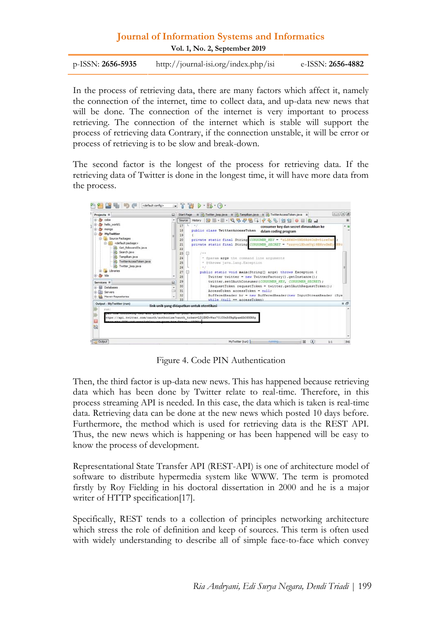| <b>Journal of Information Systems and Informatics</b><br>Vol. 1, No. 2, September 2019 |                                        |                          |
|----------------------------------------------------------------------------------------|----------------------------------------|--------------------------|
| p-ISSN: <b>2656-5935</b>                                                               | $http://journal-isi.org/index.php/isi$ | e-ISSN: <b>2656-4882</b> |
|                                                                                        |                                        |                          |

| $p$ -ISSN: <b>2656-5935</b> | http://journal-isi.org/index.php/isi | e-ISSN: <b>2656-4882</b> |
|-----------------------------|--------------------------------------|--------------------------|
|                             |                                      |                          |

In the process of retrieving data, there are many factors which affect it, namely the connection of the internet, time to collect data, and up-data new news that will be done. The connection of the internet is very important to process retrieving. The connection of the internet which is stable will support the process of retrieving data Contrary, if the connection unstable, it will be error or process of retrieving is to be slow and break-down.

The second factor is the longest of the process for retrieving data. If the retrieving data of Twitter is done in the longest time, it will have more data from the process.

| Projects III<br>凬                                                                                                      | # 25 Twitter_loop.java # 25 Tampikan.java # 25 TwitterAccessToken.java #<br>Start Page                                                                                                                                                                                          | $A + B = 0$ |
|------------------------------------------------------------------------------------------------------------------------|---------------------------------------------------------------------------------------------------------------------------------------------------------------------------------------------------------------------------------------------------------------------------------|-------------|
| cobs<br>$-0$                                                                                                           | History   @  . Q & & &<br>A<br>9910<br>Source                                                                                                                                                                                                                                   | 田           |
| helio_world1<br>mongo<br>审                                                                                             | 17<br>$\rightarrow$<br>consumer key dan secret dimasukkan ke<br>public class TwitterAccessToken<br>18<br>dalam coding program                                                                                                                                                   |             |
| <b>MyTwitter</b><br><b>Jh</b> Source Packages<br><default package=""><br/>串<br/>G-<br/>Get_followersIDs.java</default> | 19<br>private static final String CONSUMER REY - "zLSK6OvYND8Rd4CnBv6lreTaf<br>20<br>21<br>private static final String CONSUMER SECRET = "zzzvrlXhonVq19BNrwSmEy PPo<br>22                                                                                                      |             |
| Search.java<br>Tampikan.java<br>Twitter AccessToken.java<br>Twitter loop.java<br>as.<br>Ubraries<br>tda                | $1 + n$<br>23<br>⊟<br>24<br>" Oparam args the command line arguments<br>* Sthrows java.land.Exception<br>25<br>26<br>$W \nightharpoonup$<br>27<br>Θ<br>public static void main(String[] args) throws Exception (<br>28<br>Twitter twitter = new TwitterFactory().getInstance(); |             |
| $\Box$<br>Services III<br>Databases                                                                                    | 29<br>twitter.setOAuthConsumer(CONSUNER KEY, CONSUNER SECRET) ;<br>30 <sup>°</sup><br>RequestToken requestToken = twitter.getCAuthRequestToken();                                                                                                                               |             |
| Servers<br>Mayen Repositories<br><b>Gik</b>                                                                            | 31<br>AccessToken accessToken = null;<br>BufferedReader br = new BufferedReader (new InputStreamReader (Sys<br>32<br>0.5<br>while (null mm accessToken)                                                                                                                         |             |
| Output - MyTwitter (run)<br>run:                                                                                       | link unik yang didapatkan untuk otentikasi                                                                                                                                                                                                                                      | 黒 点         |
| 諂                                                                                                                      | ttps://api.twitter.com/oauth/authorise?oauth token=LD1EMDvWao701COmRfBoXpamXAOSXBSg<br>and Software                                                                                                                                                                             |             |
| <b>Dutput</b>                                                                                                          |                                                                                                                                                                                                                                                                                 |             |

Figure 4. Code PIN Authentication

Then, the third factor is up-data new news. This has happened because retrieving data which has been done by Twitter relate to real-time. Therefore, in this process streaming API is needed. In this case, the data which is taken is real-time data. Retrieving data can be done at the new news which posted 10 days before. Furthermore, the method which is used for retrieving data is the REST API. Thus, the new news which is happening or has been happened will be easy to know the process of development.

Representational State Transfer API (REST-API) is one of architecture model of software to distribute hypermedia system like WWW. The term is promoted firstly by Roy Fielding in his doctoral dissertation in 2000 and he is a major writer of HTTP specification[17].

Specifically, REST tends to a collection of principles networking architecture which stress the role of definition and keep of sources. This term is often used with widely understanding to describe all of simple face-to-face which convey<br>with widely understanding to describe all of simple face-to-face which convey<br>*Ria Andryani*, *Edi Surya Negara, Dendi Triadi* | 199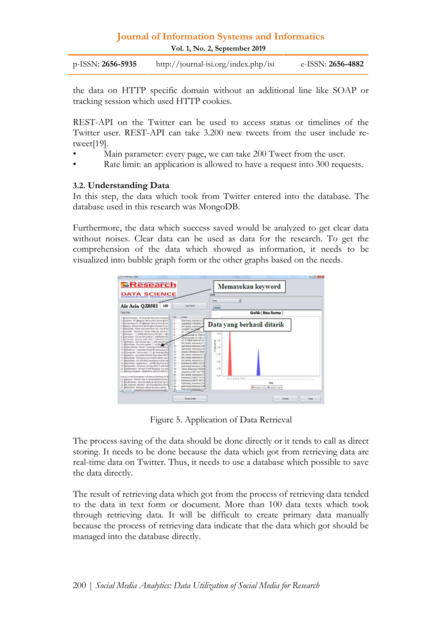| <b>Journal of Information Systems and Informatics</b><br>Vol. 1, No. 2, September 2019 |                                      |                          |
|----------------------------------------------------------------------------------------|--------------------------------------|--------------------------|
| $p$ -ISSN: 2656-5935                                                                   | http://journal-isi.org/index.php/isi | e-ISSN: <b>2656-4882</b> |
|                                                                                        |                                      |                          |

the data on HTTP specific domain without an additional line like SOAP or tracking session which used HTTP cookies.

REST-API on the Twitter can be used to access status or timelines of the Twitter user. REST-API can take 3.200 new tweets from the user include retweet[19].

- Main parameter: every page, we can take 200 Tweet from the user.
- Rate limit: an application is allowed to have a request into 300 requests.

#### **3.2. Understanding Data**

In this step, the data which took from Twitter entered into the database. The database used in this research was MongoDB.

Furthermore, the data which success saved would be analyzed to get clear data without noises. Clear data can be used as data for the research. To get the comprehension of the data which showed as information, it needs to be visualized into bubble graph form or the other graphs based on the needs.



Figure 5. Application of Data Retrieval

The process saving of the data should be done directly or it tends to call as direct storing. It needs to be done because the data which got from retrieving data are real-time data on Twitter. Thus, it needs to use a database which possible to save the data directly.

The result of retrieving data which got from the process of retrieving data tended to the data in text form or document. More than 100 data texts which took through retrieving data. It will be difficult to create primary data manually because the process of retrieving data indicate that the data which got should be managed into the database directly.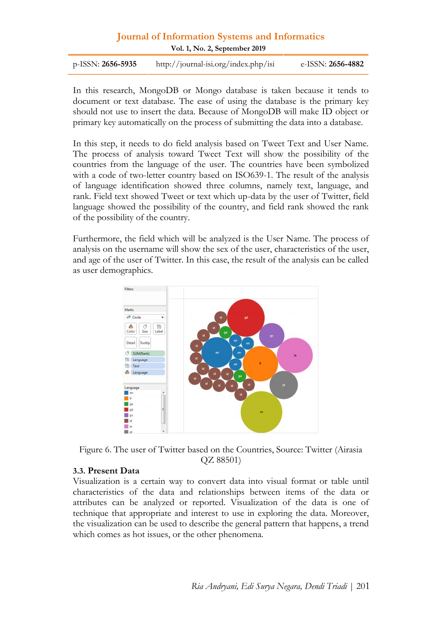# **Journal of Information Systems and Informatics** p-ISSN: **2656-5935** http://journal-isi.org/index.php/isi e-ISSN: **2656-4882**

**Vol. 1, No. 2, September 2019**

| p-ISSN: $2656 - 5935$ | http://journal-isi.org/index.php/isi | e-ISSN: <b>2656-4882</b> |
|-----------------------|--------------------------------------|--------------------------|
|-----------------------|--------------------------------------|--------------------------|

In this research, MongoDB or Mongo database is taken because it tends to document or text database. The ease of using the database is the primary key should not use to insert the data. Because of MongoDB will make ID object or primary key automatically on the process of submitting the data into a database.

In this step, it needs to do field analysis based on Tweet Text and User Name. The process of analysis toward Tweet Text will show the possibility of the countries from the language of the user. The countries have been symbolized with a code of two-letter country based on ISO639-1. The result of the analysis of language identification showed three columns, namely text, language, and rank. Field text showed Tweet or text which up-data by the user of Twitter, field language showed the possibility of the country, and field rank showed the rank of the possibility of the country.

Furthermore, the field which will be analyzed is the User Name. The process of analysis on the username will show the sex of the user, characteristics of the user, and age of the user of Twitter. In this case, the result of the analysis can be called as user demographics.



Figure 6. The user of Twitter based on the Countries, Source: Twitter (Airasia QZ 88501)

#### **3.3. Present Data**

Visualization is a certain way to convert data into visual format or table until characteristics of the data and relationships between items of the data or attributes can be analyzed or reported. Visualization of the data is one of technique that appropriate and interest to use in exploring the data. Moreover, the visualization can be used to describe the general pattern that happens, a trend which comes as hot issues, or the other phenomena.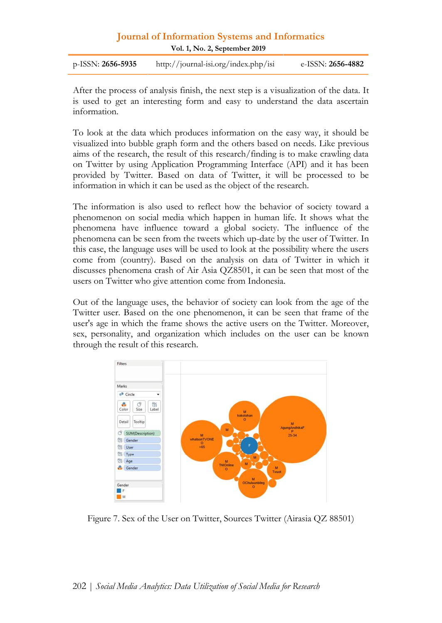| <b>Journal of Information Systems and Informatics</b><br>Vol. 1, No. 2, September 2019 |                                      |                          |
|----------------------------------------------------------------------------------------|--------------------------------------|--------------------------|
| $p$ -ISSN: 2656-5935                                                                   | http://journal-isi.org/index.php/isi | e-ISSN: <b>2656-4882</b> |
|                                                                                        |                                      |                          |

After the process of analysis finish, the next step is a visualization of the data. It is used to get an interesting form and easy to understand the data ascertain information.

To look at the data which produces information on the easy way, it should be visualized into bubble graph form and the others based on needs. Like previous aims of the research, the result of this research/finding is to make crawling data on Twitter by using Application Programming Interface (API) and it has been provided by Twitter. Based on data of Twitter, it will be processed to be information in which it can be used as the object of the research.

The information is also used to reflect how the behavior of society toward a phenomenon on social media which happen in human life. It shows what the phenomena have influence toward a global society. The influence of the phenomena can be seen from the tweets which up-date by the user of Twitter. In this case, the language uses will be used to look at the possibility where the users come from (country). Based on the analysis on data of Twitter in which it discusses phenomena crash of Air Asia QZ8501, it can be seen that most of the users on Twitter who give attention come from Indonesia.

Out of the language uses, the behavior of society can look from the age of the Twitter user. Based on the one phenomenon, it can be seen that frame of the user's age in which the frame shows the active users on the Twitter. Moreover, sex, personality, and organization which includes on the user can be known through the result of this research.



Figure 7. Sex of the User on Twitter, Sources Twitter (Airasia QZ 88501)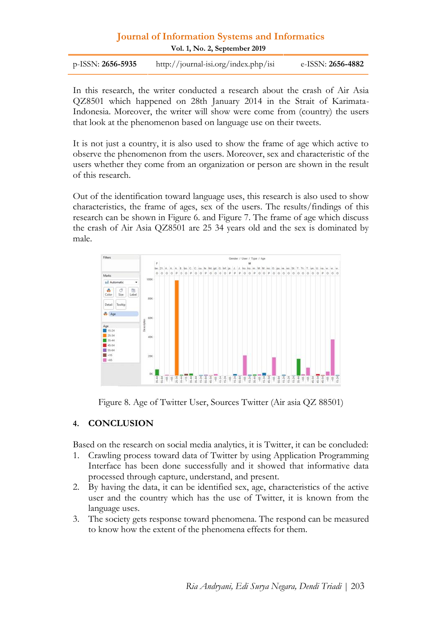# **Journal of Information Systems and Informatics** p-ISSN: **2656-5935** http://journal-isi.org/index.php/isi e-ISSN: **2656-4882**

**Vol. 1, No. 2, September 2019**

| p-ISSN: $2656 - 5935$ | http://journal-isi.org/index.php/isi | e-ISSN: <b>2656-4882</b> |
|-----------------------|--------------------------------------|--------------------------|
|-----------------------|--------------------------------------|--------------------------|

In this research, the writer conducted a research about the crash of Air Asia QZ8501 which happened on 28th January 2014 in the Strait of Karimata- Indonesia. Moreover, the writer will show were come from (country) the users that look at the phenomenon based on language use on their tweets.

It is not just a country, it is also used to show the frame of age which active to observe the phenomenon from the users. Moreover, sex and characteristic of the users whether they come from an organization or person are shown in the result of this research.

Out of the identification toward language uses, this research is also used to show characteristics, the frame of ages, sex of the users. The results/findings of this research can be shown in Figure 6. and Figure 7. The frame of age which discuss the crash of Air Asia QZ8501 are 25 34 years old and the sex is dominated by male.



Figure 8. Age of Twitter User, Sources Twitter (Air asia QZ 88501)

#### **4. CONCLUSION**

Based on the research on social media analytics, it is Twitter, it can be concluded:

- 1. Crawling process toward data of Twitter by using Application Programming Interface has been done successfully and it showed that informative data processed through capture, understand, and present.
- 2. By having the data, it can be identified sex, age, characteristics of the active user and the country which has the use of Twitter, it is known from the language uses.
- 3. The society gets response toward phenomena. The respond can be measured to know how the extent of the phenomena effects for them.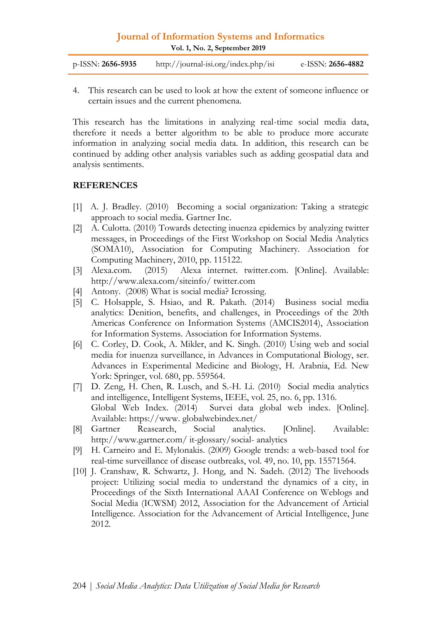| http://journal-isi.org/index.php/isi<br>p-ISSN: <b>2656-5935</b> | e-ISSN: 2656-4882 |
|------------------------------------------------------------------|-------------------|
|------------------------------------------------------------------|-------------------|

4. This research can be used to look at how the extent of someone influence or certain issues and the current phenomena.

This research has the limitations in analyzing real-time social media data, therefore it needs a better algorithm to be able to produce more accurate information in analyzing social media data. In addition, this research can be continued by adding other analysis variables such as adding geospatial data and analysis sentiments.

#### **REFERENCES**

- [1] A. J. Bradley. (2010) Becoming a social organization: Taking a strategic approach to social media. Gartner Inc.
- [2] A. Culotta. (2010) Towards detecting inuenza epidemics by analyzing twitter messages, in Proceedings of the First Workshop on Social Media Analytics (SOMA10), Association for Computing Machinery. Association for Computing Machinery, 2010, pp. 115122.
- [3] Alexa.com. (2015) Alexa internet. twitter.com. [Online]. Available: http://www.alexa.com/siteinfo/ twitter.com
- [4] Antony. (2008) What is social media? Icrossing.
- [5] C. Holsapple, S. Hsiao, and R. Pakath. (2014) Business social media analytics: Denition, benefits, and challenges, in Proceedings of the 20th Americas Conference on Information Systems (AMCIS2014), Association for Information Systems. Association for Information Systems.
- [6] C. Corley, D. Cook, A. Mikler, and K. Singh. (2010) Using web and social media for inuenza surveillance, in Advances in Computational Biology, ser. Advances in Experimental Medicine and Biology, H. Arabnia, Ed. New York: Springer, vol. 680, pp. 559564.
- [7] D. Zeng, H. Chen, R. Lusch, and S.-H. Li. (2010) Social media analytics and intelligence, Intelligent Systems, IEEE, vol. 25, no. 6, pp. 1316. Global Web Index. (2014) Survei data global web index. [Online]. Available: https://www. globalwebindex.net/
- [8] Gartner Reasearch, Social analytics. [Online]. Available: http://www.gartner.com/ it-glossary/social- analytics
- [9] H. Carneiro and E. Mylonakis. (2009) Google trends: a web-based tool for real-time surveillance of disease outbreaks, vol. 49, no. 10, pp. 15571564.
- [10] J. Cranshaw, R. Schwartz, J. Hong, and N. Sadeh. (2012) The livehoods project: Utilizing social media to understand the dynamics of a city, in Proceedings of the Sixth International AAAI Conference on Weblogs and Social Media (ICWSM) 2012, Association for the Advancement of Articial Intelligence. Association for the Advancement of Articial Intelligence, June 2012.